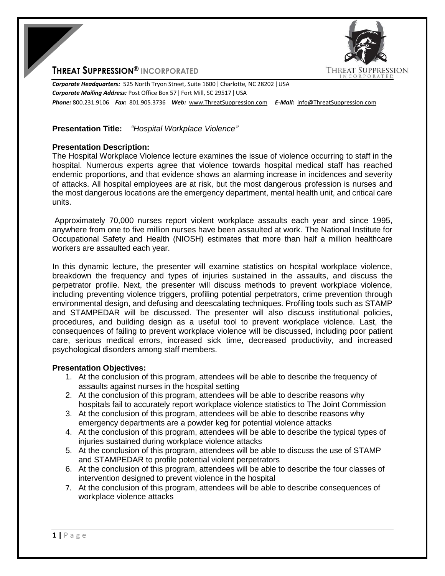

## **THREAT SUPPRESSION® INCORPORATED**

*Corporate Headquarters:* 525 North Tryon Street, Suite 1600 ǀ Charlotte, NC 28202 ǀ USA *Corporate Mailing Address:* Post Office Box 57 ǀ Fort Mill, SC 29517 ǀ USA *Phone:* 800.231.9106 *Fax:* 801.905.3736 *Web:* www.ThreatSuppression.com *E-Mail:* info@ThreatSuppression.com

## **Presentation Title:** *"Hospital Workplace Violence"*

## **Presentation Description:**

The Hospital Workplace Violence lecture examines the issue of violence occurring to staff in the hospital. Numerous experts agree that violence towards hospital medical staff has reached endemic proportions, and that evidence shows an alarming increase in incidences and severity of attacks. All hospital employees are at risk, but the most dangerous profession is nurses and the most dangerous locations are the emergency department, mental health unit, and critical care units.

Approximately 70,000 nurses report violent workplace assaults each year and since 1995, anywhere from one to five million nurses have been assaulted at work. The National Institute for Occupational Safety and Health (NIOSH) estimates that more than half a million healthcare workers are assaulted each year.

In this dynamic lecture, the presenter will examine statistics on hospital workplace violence, breakdown the frequency and types of injuries sustained in the assaults, and discuss the perpetrator profile. Next, the presenter will discuss methods to prevent workplace violence, including preventing violence triggers, profiling potential perpetrators, crime prevention through environmental design, and defusing and deescalating techniques. Profiling tools such as STAMP and STAMPEDAR will be discussed. The presenter will also discuss institutional policies, procedures, and building design as a useful tool to prevent workplace violence. Last, the consequences of failing to prevent workplace violence will be discussed, including poor patient care, serious medical errors, increased sick time, decreased productivity, and increased psychological disorders among staff members.

## **Presentation Objectives:**

- 1. At the conclusion of this program, attendees will be able to describe the frequency of assaults against nurses in the hospital setting
- 2. At the conclusion of this program, attendees will be able to describe reasons why hospitals fail to accurately report workplace violence statistics to The Joint Commission
- 3. At the conclusion of this program, attendees will be able to describe reasons why emergency departments are a powder keg for potential violence attacks
- 4. At the conclusion of this program, attendees will be able to describe the typical types of injuries sustained during workplace violence attacks
- 5. At the conclusion of this program, attendees will be able to discuss the use of STAMP and STAMPEDAR to profile potential violent perpetrators
- 6. At the conclusion of this program, attendees will be able to describe the four classes of intervention designed to prevent violence in the hospital
- 7. At the conclusion of this program, attendees will be able to describe consequences of workplace violence attacks